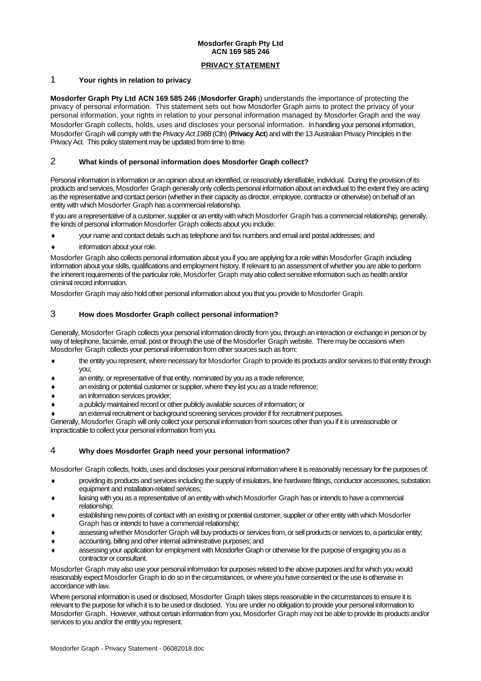# **Mosdorfer Graph Pty Ltd ACN 169 585 246**

#### **PRIVACY STATEMENT**

#### 1 **Your rights in relation to privacy**

**Mosdorfer Graph Pty Ltd ACN 169 585 246** (**Mosdorfer Graph**) understands the importance of protecting the privacy of personal information. This statement sets out how Mosdorfer Graph aims to protect the privacy of your personal information, your rights in relation to your personal information managed by Mosdorfer Graph and the way Mosdorfer Graph collects, holds, uses and discloses your personal information. In handling your personal information, Mosdorfer Graph will comply with the *Privacy Act 1988* (Cth) (**Privacy Act**) and with the 13 Australian Privacy Principles in the Privacy Act. This policy statement may be updated from time to time.

## 2 **What kinds of personal information does Mosdorfer Graph collect?**

Personal information is information or an opinion about an identified, or reasonably identifiable, individual. During the provision of its products and services, Mosdorfer Graph generally only collects personal information about an individual to the extent they are acting as the representative and contact person (whether in their capacity as director, employee, contractor or otherwise) on behalf of an entity with which Mosdorfer Graph has a commercial relationship.

If you are a representative of a customer, supplier or an entity with which Mosdorfer Graph has a commercial relationship, generally, the kinds of personal information Mosdorfer Graph collects about you include:

- your name and contact details such as telephone and fax numbers and email and postal addresses; and
- information about your role.

Mosdorfer Graph also collects personal information about you if you are applying for a role within Mosdorfer Graph including information about your skills, qualifications and employment history. If relevant to an assessment of whether you are able to perform the inherent requirements of the particular role, Mosdorfer Graph may also collect sensitive information such as health and/or criminal record information.

Mosdorfer Graph may also hold other personal information about you that you provide to Mosdorfer Graph.

# 3 **How does Mosdorfer Graph collect personal information?**

Generally, Mosdorfer Graph collects your personal information directly from you, through an interaction or exchange in person or by way of telephone, facsimile, email, post or through the use of the Mosdorfer Graph website. There may be occasions when Mosdorfer Graph collects your personal information from other sources such as from:

- the entity you represent, where necessary for Mosdorfer Graph to provide its products and/or services to that entity through you;
- an entity, or representative of that entity, nominated by you as a trade reference;
- an existing or potential customer or supplier, where they list you as a trade reference;
- an information services provider;
- a publicly maintained record or other publicly available sources of information; or
- an external recruitment or background screening services provider if for recruitment purposes.

Generally, Mosdorfer Graph will only collect your personal information from sources other than you if it is unreasonable or impracticable to collect your personal information from you.

## 4 **Why does Mosdorfer Graph need your personal information?**

Mosdorfer Graph collects, holds, uses and discloses your personal information where it is reasonably necessary for the purposes of:

- providing its products and services including the supply of insulators, line hardware fittings, conductor accessories, substation equipment and installation-related services;
- liaising with you as a representative of an entity with which Mosdorfer Graph has or intends to have a commercial relationship;
- establishing new points of contact with an existing or potential customer, supplier or other entity with which Mosdorfer Graph has or intends to have a commercial relationship;
- assessing whether Mosdorfer Graph will buy products or services from, or sell products or services to, a particular entity;
- accounting, billing and other internal administrative purposes; and
- assessing your application for employment with Mosdorfer Graph or otherwise for the purpose of engaging you as a contractor or consultant.

Mosdorfer Graph may also use your personal information for purposes related to the above purposes and for which you would reasonably expect Mosdorfer Graph to do so in the circumstances, or where you have consented or the use is otherwise in accordance with law.

Where personal information is used or disclosed, Mosdorfer Graph takes steps reasonable in the circumstances to ensure it is relevant to the purpose for which it is to be used or disclosed. You are under no obligation to provide your personal information to Mosdorfer Graph. However, without certain information from you, Mosdorfer Graph may not be able to provide its products and/or services to you and/or the entity you represent.